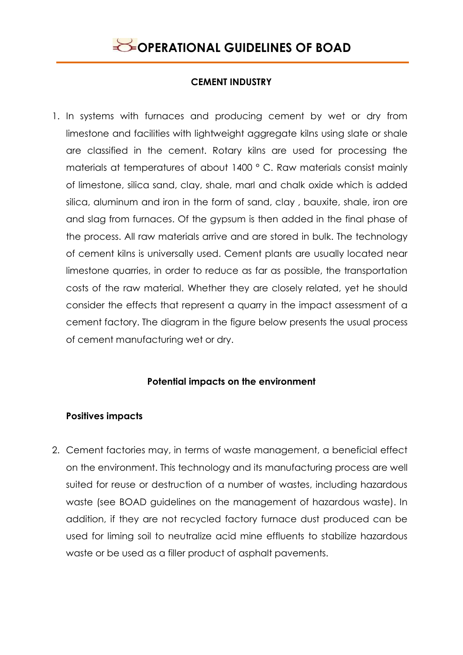

### **CEMENT INDUSTRY**

1. In systems with furnaces and producing cement by wet or dry from limestone and facilities with lightweight aggregate kilns using slate or shale are classified in the cement. Rotary kilns are used for processing the materials at temperatures of about 1400 ° C. Raw materials consist mainly of limestone, silica sand, clay, shale, marl and chalk oxide which is added silica, aluminum and iron in the form of sand, clay , bauxite, shale, iron ore and slag from furnaces. Of the gypsum is then added in the final phase of the process. All raw materials arrive and are stored in bulk. The technology of cement kilns is universally used. Cement plants are usually located near limestone quarries, in order to reduce as far as possible, the transportation costs of the raw material. Whether they are closely related, yet he should consider the effects that represent a quarry in the impact assessment of a cement factory. The diagram in the figure below presents the usual process of cement manufacturing wet or dry.

### **Potential impacts on the environment**

### **Positives impacts**

2. Cement factories may, in terms of waste management, a beneficial effect on the environment. This technology and its manufacturing process are well suited for reuse or destruction of a number of wastes, including hazardous waste (see BOAD guidelines on the management of hazardous waste). In addition, if they are not recycled factory furnace dust produced can be used for liming soil to neutralize acid mine effluents to stabilize hazardous waste or be used as a filler product of asphalt pavements.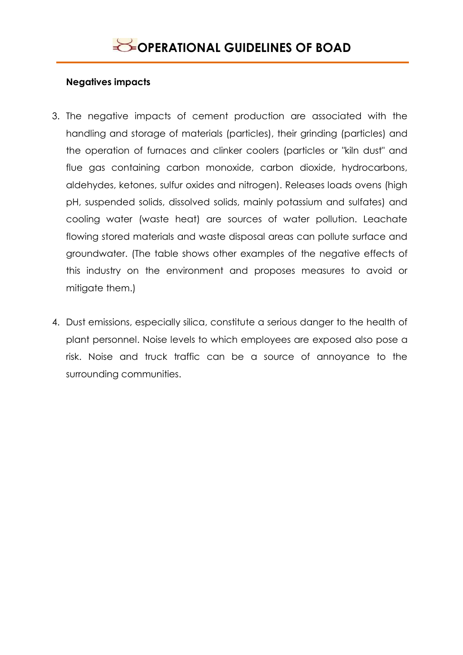### **Negatives impacts**

- 3. The negative impacts of cement production are associated with the handling and storage of materials (particles), their grinding (particles) and the operation of furnaces and clinker coolers (particles or "kiln dust" and flue gas containing carbon monoxide, carbon dioxide, hydrocarbons, aldehydes, ketones, sulfur oxides and nitrogen). Releases loads ovens (high pH, suspended solids, dissolved solids, mainly potassium and sulfates) and cooling water (waste heat) are sources of water pollution. Leachate flowing stored materials and waste disposal areas can pollute surface and groundwater. (The table shows other examples of the negative effects of this industry on the environment and proposes measures to avoid or mitigate them.)
- 4. Dust emissions, especially silica, constitute a serious danger to the health of plant personnel. Noise levels to which employees are exposed also pose a risk. Noise and truck traffic can be a source of annoyance to the surrounding communities.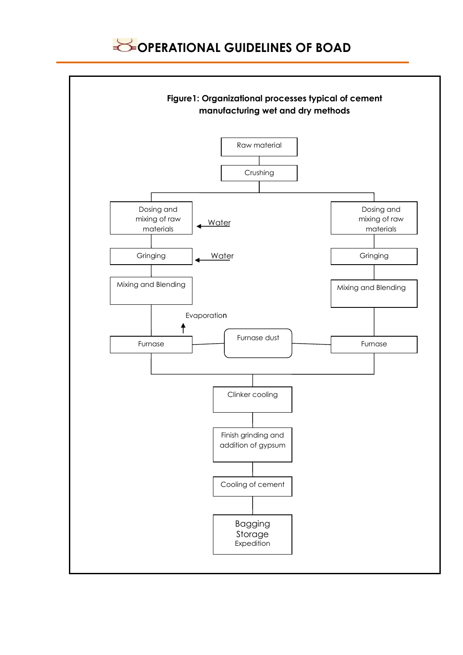

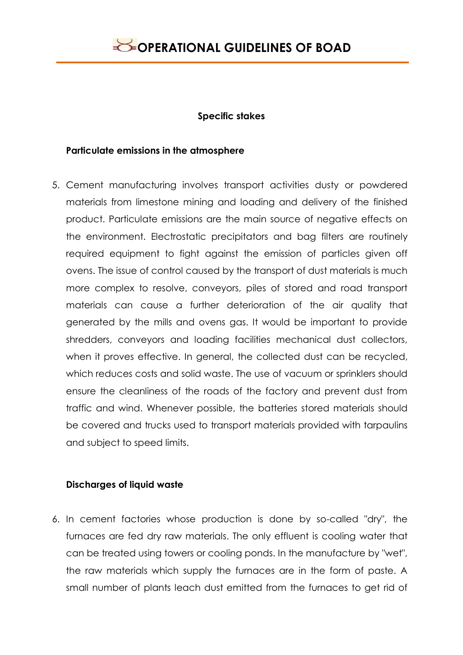#### **Specific stakes**

### **Particulate emissions in the atmosphere**

5. Cement manufacturing involves transport activities dusty or powdered materials from limestone mining and loading and delivery of the finished product. Particulate emissions are the main source of negative effects on the environment. Electrostatic precipitators and bag filters are routinely required equipment to fight against the emission of particles given off ovens. The issue of control caused by the transport of dust materials is much more complex to resolve, conveyors, piles of stored and road transport materials can cause a further deterioration of the air quality that generated by the mills and ovens gas. It would be important to provide shredders, conveyors and loading facilities mechanical dust collectors, when it proves effective. In general, the collected dust can be recycled, which reduces costs and solid waste. The use of vacuum or sprinklers should ensure the cleanliness of the roads of the factory and prevent dust from traffic and wind. Whenever possible, the batteries stored materials should be covered and trucks used to transport materials provided with tarpaulins and subject to speed limits.

### **Discharges of liquid waste**

6. In cement factories whose production is done by so-called "dry", the furnaces are fed dry raw materials. The only effluent is cooling water that can be treated using towers or cooling ponds. In the manufacture by "wet", the raw materials which supply the furnaces are in the form of paste. A small number of plants leach dust emitted from the furnaces to get rid of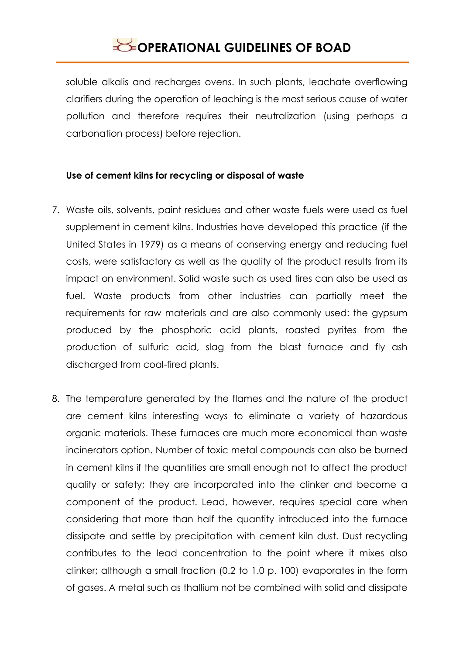soluble alkalis and recharges ovens. In such plants, leachate overflowing clarifiers during the operation of leaching is the most serious cause of water pollution and therefore requires their neutralization (using perhaps a carbonation process) before rejection.

### **Use of cement kilns for recycling or disposal of waste**

- 7. Waste oils, solvents, paint residues and other waste fuels were used as fuel supplement in cement kilns. Industries have developed this practice (if the United States in 1979) as a means of conserving energy and reducing fuel costs, were satisfactory as well as the quality of the product results from its impact on environment. Solid waste such as used tires can also be used as fuel. Waste products from other industries can partially meet the requirements for raw materials and are also commonly used: the gypsum produced by the phosphoric acid plants, roasted pyrites from the production of sulfuric acid, slag from the blast furnace and fly ash discharged from coal-fired plants.
- 8. The temperature generated by the flames and the nature of the product are cement kilns interesting ways to eliminate a variety of hazardous organic materials. These furnaces are much more economical than waste incinerators option. Number of toxic metal compounds can also be burned in cement kilns if the quantities are small enough not to affect the product quality or safety; they are incorporated into the clinker and become a component of the product. Lead, however, requires special care when considering that more than half the quantity introduced into the furnace dissipate and settle by precipitation with cement kiln dust. Dust recycling contributes to the lead concentration to the point where it mixes also clinker; although a small fraction (0.2 to 1.0 p. 100) evaporates in the form of gases. A metal such as thallium not be combined with solid and dissipate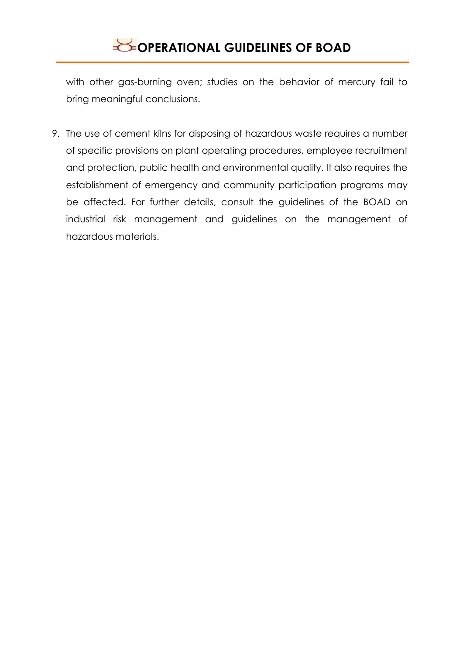with other gas-burning oven; studies on the behavior of mercury fail to bring meaningful conclusions.

9. The use of cement kilns for disposing of hazardous waste requires a number of specific provisions on plant operating procedures, employee recruitment and protection, public health and environmental quality. It also requires the establishment of emergency and community participation programs may be affected. For further details, consult the guidelines of the BOAD on industrial risk management and guidelines on the management of hazardous materials.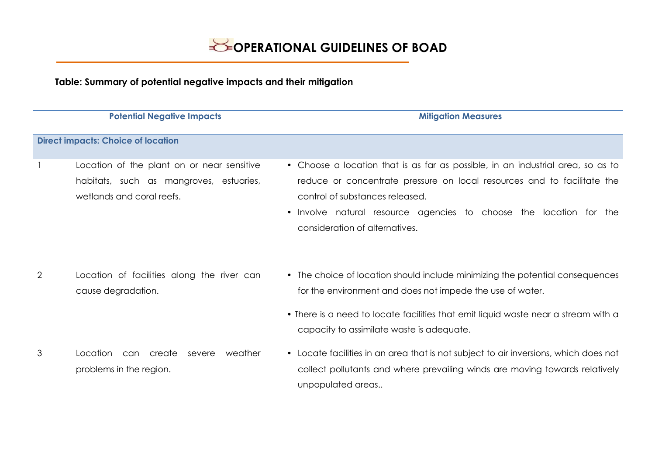**Table: Summary of potential negative impacts and their mitigation**

|                                           | <b>Potential Negative Impacts</b>                                                                                  | <b>Mitigation Measures</b>                                                                                                                                                                                                                                                                                       |  |
|-------------------------------------------|--------------------------------------------------------------------------------------------------------------------|------------------------------------------------------------------------------------------------------------------------------------------------------------------------------------------------------------------------------------------------------------------------------------------------------------------|--|
| <b>Direct impacts: Choice of location</b> |                                                                                                                    |                                                                                                                                                                                                                                                                                                                  |  |
|                                           | Location of the plant on or near sensitive<br>habitats, such as mangroves, estuaries,<br>wetlands and coral reefs. | • Choose a location that is as far as possible, in an industrial area, so as to<br>reduce or concentrate pressure on local resources and to facilitate the<br>control of substances released.<br>Involve natural resource agencies to choose the location for the<br>$\bullet$<br>consideration of alternatives. |  |
| 2                                         | Location of facilities along the river can<br>cause degradation.                                                   | • The choice of location should include minimizing the potential consequences<br>for the environment and does not impede the use of water.<br>• There is a need to locate facilities that emit liquid waste near a stream with a<br>capacity to assimilate waste is adequate.                                    |  |
| 3                                         | Location<br>can create<br>weather<br>severe<br>problems in the region.                                             | • Locate facilities in an area that is not subject to air inversions, which does not<br>collect pollutants and where prevailing winds are moving towards relatively<br>unpopulated areas                                                                                                                         |  |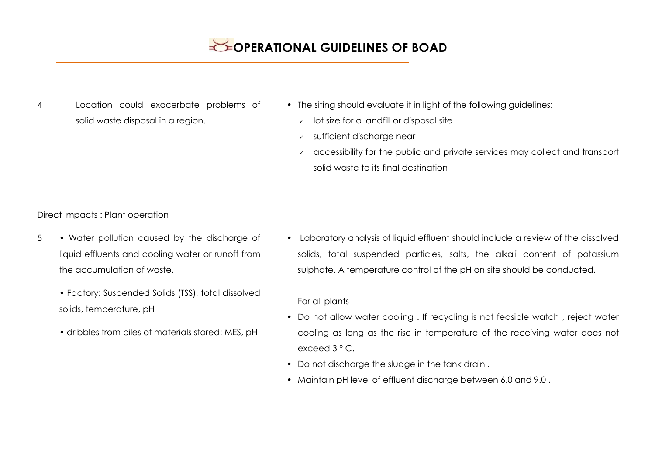- 4 Location could exacerbate problems of solid waste disposal in a region.
- The siting should evaluate it in light of the following quidelines:
	- $\sqrt{ }$  lot size for a landfill or disposal site
	- sufficient discharge near
	- $\sim$  accessibility for the public and private services may collect and transport solid waste to its final destination

Direct impacts : Plant operation

- 5 Water pollution caused by the discharge of liquid effluents and cooling water or runoff from the accumulation of waste.
	- Factory: Suspended Solids (TSS), total dissolved solids, temperature, pH
	- dribbles from piles of materials stored: MES, pH

• Laboratory analysis of liquid effluent should include a review of the dissolved solids, total suspended particles, salts, the alkali content of potassium sulphate. A temperature control of the pH on site should be conducted.

#### For all plants

- Do not allow water cooling . If recycling is not feasible watch , reject water cooling as long as the rise in temperature of the receiving water does not exceed 3 ° C.
- Do not discharge the sludge in the tank drain .
- Maintain pH level of effluent discharge between 6.0 and 9.0 .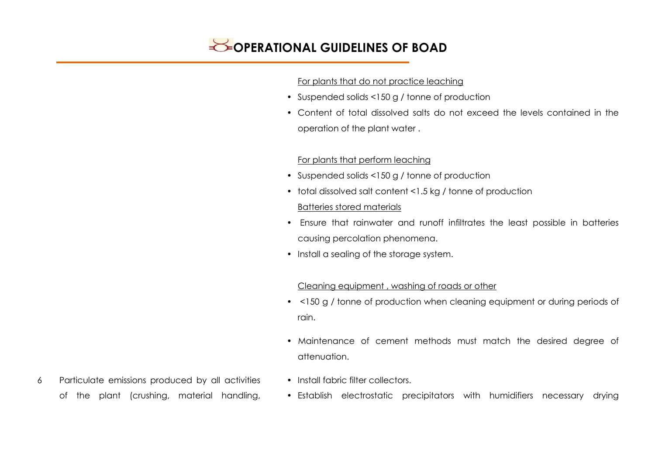#### For plants that do not practice leaching

- Suspended solids <150 g / tonne of production
- Content of total dissolved salts do not exceed the levels contained in the operation of the plant water .

### For plants that perform leaching

- Suspended solids <150 g / tonne of production
- total dissolved salt content <1.5 kg / tonne of production Batteries stored materials
- Ensure that rainwater and runoff infiltrates the least possible in batteries causing percolation phenomena.
- Install a sealing of the storage system.

### Cleaning equipment , washing of roads or other

- <150 g / tonne of production when cleaning equipment or during periods of rain.
- Maintenance of cement methods must match the desired degree of attenuation.
- 
- Install fabric filter collectors.
	- Establish electrostatic precipitators with humidifiers necessary drying
- 6 Particulate emissions produced by all activities of the plant (crushing, material handling,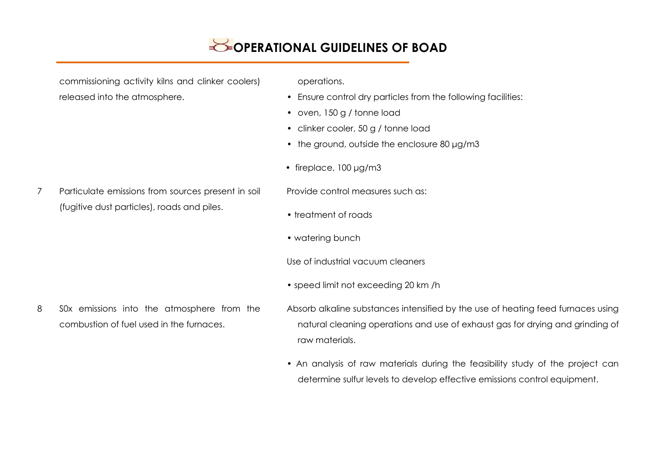commissioning activity kilns and clinker coolers) released into the atmosphere.

operations.

- Ensure control dry particles from the following facilities:
- oven, 150 g / tonne load
- clinker cooler, 50 g / tonne load
- the ground, outside the enclosure 80 μg/m3
- fireplace, 100 μg/m3
- 7 Particulate emissions from sources present in soil (fugitive dust particles), roads and piles.

Provide control measures such as:

- treatment of roads
- watering bunch

Use of industrial vacuum cleaners

- speed limit not exceeding 20 km /h
- 8 S0x emissions into the atmosphere from the combustion of fuel used in the furnaces.
- Absorb alkaline substances intensified by the use of heating feed furnaces using natural cleaning operations and use of exhaust gas for drying and grinding of raw materials.
- An analysis of raw materials during the feasibility study of the project can determine sulfur levels to develop effective emissions control equipment.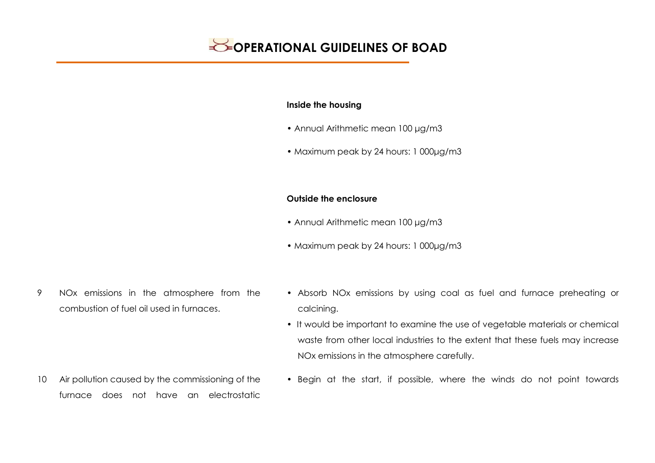#### **Inside the housing**

- Annual Arithmetic mean 100 μg/m3
- Maximum peak by 24 hours: 1 000µg/m3

#### **Outside the enclosure**

- Annual Arithmetic mean 100 μg/m3
- Maximum peak by 24 hours: 1 000μg/m3
- 9 NOx emissions in the atmosphere from the combustion of fuel oil used in furnaces.
- Absorb NOx emissions by using coal as fuel and furnace preheating or calcining.
- It would be important to examine the use of vegetable materials or chemical waste from other local industries to the extent that these fuels may increase NOx emissions in the atmosphere carefully.
- 10 Air pollution caused by the commissioning of the furnace does not have an electrostatic
- Begin at the start, if possible, where the winds do not point towards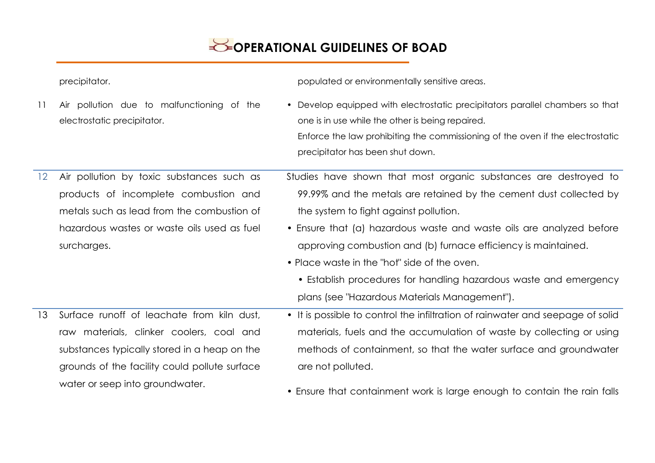|    | precipitator.                                                             | populated or environmentally sensitive areas.                                                                                                                                                                                                           |
|----|---------------------------------------------------------------------------|---------------------------------------------------------------------------------------------------------------------------------------------------------------------------------------------------------------------------------------------------------|
| 11 | Air pollution due to malfunctioning of the<br>electrostatic precipitator. | • Develop equipped with electrostatic precipitators parallel chambers so that<br>one is in use while the other is being repaired.<br>Enforce the law prohibiting the commissioning of the oven if the electrostatic<br>precipitator has been shut down. |
| 12 | Air pollution by toxic substances such as                                 | Studies have shown that most organic substances are destroyed to                                                                                                                                                                                        |
|    | products of incomplete combustion and                                     | 99.99% and the metals are retained by the cement dust collected by                                                                                                                                                                                      |
|    | metals such as lead from the combustion of                                | the system to fight against pollution.                                                                                                                                                                                                                  |
|    | hazardous wastes or waste oils used as fuel                               | • Ensure that (a) hazardous waste and waste oils are analyzed before                                                                                                                                                                                    |
|    | surcharges.                                                               | approving combustion and (b) furnace efficiency is maintained.                                                                                                                                                                                          |
|    |                                                                           | • Place waste in the "hot" side of the oven.                                                                                                                                                                                                            |
|    |                                                                           | • Establish procedures for handling hazardous waste and emergency                                                                                                                                                                                       |
|    |                                                                           | plans (see "Hazardous Materials Management").                                                                                                                                                                                                           |
| 13 | Surface runoff of leachate from kiln dust,                                | • It is possible to control the infiltration of rainwater and seepage of solid                                                                                                                                                                          |
|    | raw materials, clinker coolers, coal and                                  | materials, fuels and the accumulation of waste by collecting or using                                                                                                                                                                                   |
|    | substances typically stored in a heap on the                              | methods of containment, so that the water surface and groundwater                                                                                                                                                                                       |
|    | grounds of the facility could pollute surface                             | are not polluted.                                                                                                                                                                                                                                       |
|    | water or seep into groundwater.                                           | • Ensure that containment work is large enough to contain the rain falls                                                                                                                                                                                |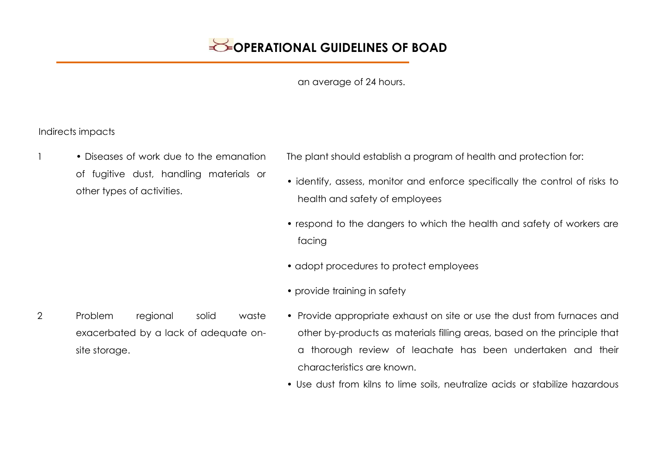an average of 24 hours.

Indirects impacts

1 • Diseases of work due to the emanation of fugitive dust, handling materials or other types of activities.

The plant should establish a program of health and protection for:

- identify, assess, monitor and enforce specifically the control of risks to health and safety of employees
- respond to the dangers to which the health and safety of workers are facing
- adopt procedures to protect employees
- provide training in safety
- 2 Problem regional solid waste exacerbated by a lack of adequate onsite storage.
- Provide appropriate exhaust on site or use the dust from furnaces and other by-products as materials filling areas, based on the principle that a thorough review of leachate has been undertaken and their characteristics are known.
- Use dust from kilns to lime soils, neutralize acids or stabilize hazardous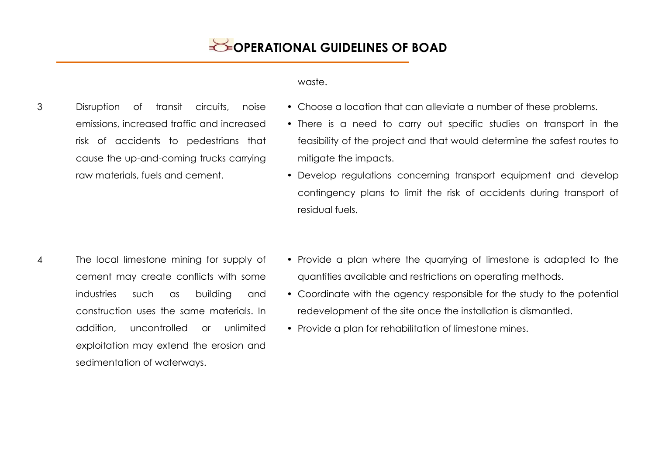#### waste.

- 3 Disruption of transit circuits, noise emissions, increased traffic and increased risk of accidents to pedestrians that cause the up-and-coming trucks carrying raw materials, fuels and cement.
- Choose a location that can alleviate a number of these problems.
	- There is a need to carry out specific studies on transport in the feasibility of the project and that would determine the safest routes to mitigate the impacts.
	- Develop regulations concerning transport equipment and develop contingency plans to limit the risk of accidents during transport of residual fuels.
- 4 The local limestone mining for supply of cement may create conflicts with some industries such as building and construction uses the same materials. In addition, uncontrolled or unlimited exploitation may extend the erosion and sedimentation of waterways.
- Provide a plan where the quarrying of limestone is adapted to the quantities available and restrictions on operating methods.
- Coordinate with the agency responsible for the study to the potential redevelopment of the site once the installation is dismantled.
- Provide a plan for rehabilitation of limestone mines.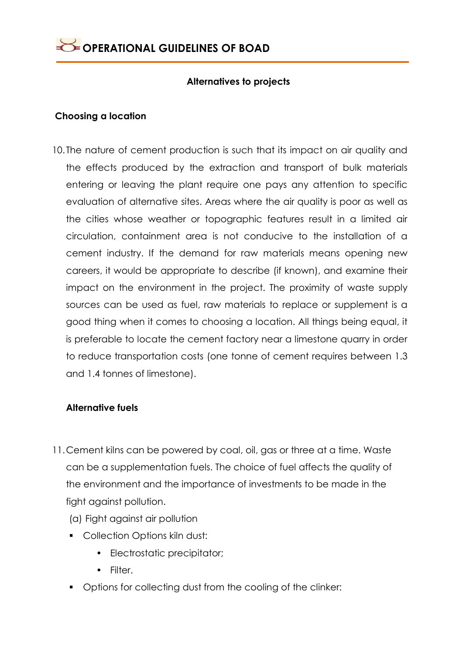### **Alternatives to projects**

### **Choosing a location**

10. The nature of cement production is such that its impact on air quality and the effects produced by the extraction and transport of bulk materials entering or leaving the plant require one pays any attention to specific evaluation of alternative sites. Areas where the air quality is poor as well as the cities whose weather or topographic features result in a limited air circulation, containment area is not conducive to the installation of a cement industry. If the demand for raw materials means opening new careers, it would be appropriate to describe (if known), and examine their impact on the environment in the project. The proximity of waste supply sources can be used as fuel, raw materials to replace or supplement is a good thing when it comes to choosing a location. All things being equal, it is preferable to locate the cement factory near a limestone quarry in order to reduce transportation costs (one tonne of cement requires between 1.3 and 1.4 tonnes of limestone).

### **Alternative fuels**

- 11.Cement kilns can be powered by coal, oil, gas or three at a time. Waste can be a supplementation fuels. The choice of fuel affects the quality of the environment and the importance of investments to be made in the fight against pollution.
	- (a) Fight against air pollution
	- **Collection Options kiln dust:** 
		- Electrostatic precipitator;
		- Filter.
	- **Deparat** Options for collecting dust from the cooling of the clinker: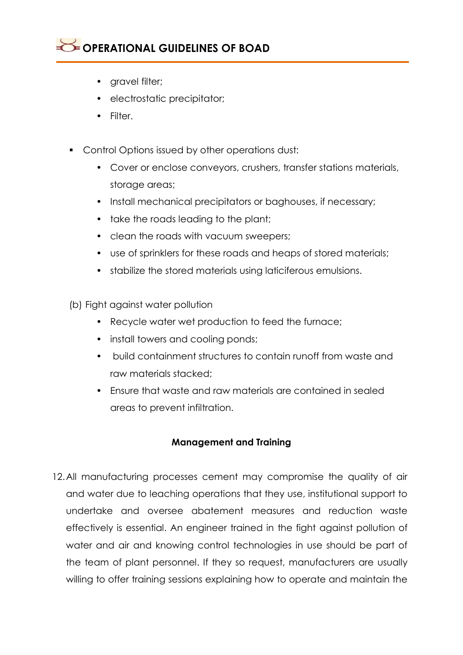- gravel filter;
- electrostatic precipitator;
- Filter.
- **Control Options issued by other operations dust:** 
	- Cover or enclose conveyors, crushers, transfer stations materials, storage areas;
	- Install mechanical precipitators or baghouses, if necessary;
	- take the roads leading to the plant;
	- clean the roads with vacuum sweepers;
	- use of sprinklers for these roads and heaps of stored materials;
	- stabilize the stored materials using laticiferous emulsions.
- (b) Fight against water pollution
	- Recycle water wet production to feed the furnace;
	- install towers and cooling ponds;
	- build containment structures to contain runoff from waste and raw materials stacked;
	- Ensure that waste and raw materials are contained in sealed areas to prevent infiltration.

### **Management and Training**

12.All manufacturing processes cement may compromise the quality of air and water due to leaching operations that they use, institutional support to undertake and oversee abatement measures and reduction waste effectively is essential. An engineer trained in the fight against pollution of water and air and knowing control technologies in use should be part of the team of plant personnel. If they so request, manufacturers are usually willing to offer training sessions explaining how to operate and maintain the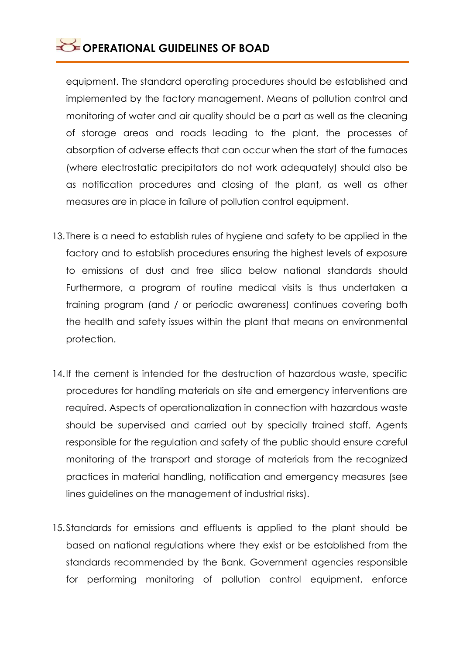equipment. The standard operating procedures should be established and implemented by the factory management. Means of pollution control and monitoring of water and air quality should be a part as well as the cleaning of storage areas and roads leading to the plant, the processes of absorption of adverse effects that can occur when the start of the furnaces (where electrostatic precipitators do not work adequately) should also be as notification procedures and closing of the plant, as well as other measures are in place in failure of pollution control equipment.

- 13. There is a need to establish rules of hygiene and safety to be applied in the factory and to establish procedures ensuring the highest levels of exposure to emissions of dust and free silica below national standards should Furthermore, a program of routine medical visits is thus undertaken a training program (and / or periodic awareness) continues covering both the health and safety issues within the plant that means on environmental protection.
- 14.If the cement is intended for the destruction of hazardous waste, specific procedures for handling materials on site and emergency interventions are required. Aspects of operationalization in connection with hazardous waste should be supervised and carried out by specially trained staff. Agents responsible for the regulation and safety of the public should ensure careful monitoring of the transport and storage of materials from the recognized practices in material handling, notification and emergency measures (see lines guidelines on the management of industrial risks).
- 15.Standards for emissions and effluents is applied to the plant should be based on national regulations where they exist or be established from the standards recommended by the Bank. Government agencies responsible for performing monitoring of pollution control equipment, enforce